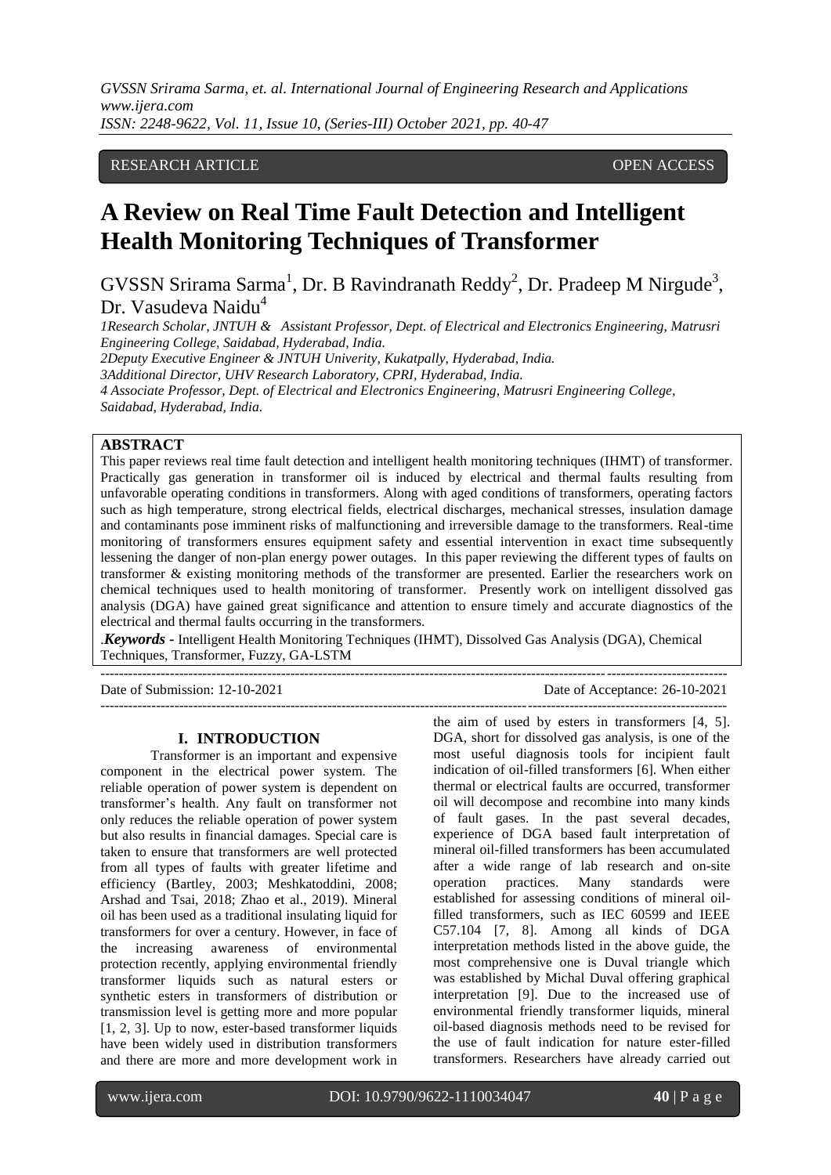# RESEARCH ARTICLE OPEN ACCESS

# **A Review on Real Time Fault Detection and Intelligent Health Monitoring Techniques of Transformer**

GVSSN Srirama Sarma<sup>1</sup>, Dr. B Ravindranath Reddy<sup>2</sup>, Dr. Pradeep M Nirgude<sup>3</sup>, Dr. Vasudeva Naidu<sup>4</sup>

*1Research Scholar, JNTUH & Assistant Professor, Dept. of Electrical and Electronics Engineering, Matrusri Engineering College, Saidabad, Hyderabad, India. 2Deputy Executive Engineer & JNTUH Univerity, Kukatpally, Hyderabad, India. 3Additional Director, UHV Research Laboratory, CPRI, Hyderabad, India.* 

*4 Associate Professor, Dept. of Electrical and Electronics Engineering, Matrusri Engineering College, Saidabad, Hyderabad, India.*

#### **ABSTRACT**

This paper reviews real time fault detection and intelligent health monitoring techniques (IHMT) of transformer. Practically gas generation in transformer oil is induced by electrical and thermal faults resulting from unfavorable operating conditions in transformers. Along with aged conditions of transformers, operating factors such as high temperature, strong electrical fields, electrical discharges, mechanical stresses, insulation damage and contaminants pose imminent risks of malfunctioning and irreversible damage to the transformers. Real-time monitoring of transformers ensures equipment safety and essential intervention in exact time subsequently lessening the danger of non-plan energy power outages. In this paper reviewing the different types of faults on transformer & existing monitoring methods of the transformer are presented. Earlier the researchers work on chemical techniques used to health monitoring of transformer. Presently work on intelligent dissolved gas analysis (DGA) have gained great significance and attention to ensure timely and accurate diagnostics of the electrical and thermal faults occurring in the transformers.

.*Keywords* **-** Intelligent Health Monitoring Techniques (IHMT), Dissolved Gas Analysis (DGA), Chemical Techniques, Transformer, Fuzzy, GA-LSTM

---------------------------------------------------------------------------------------------------------------------------------------

---------------------------------------------------------------------------------------------------------------------------------------

#### Date of Submission: 12-10-2021 Date of Acceptance: 26-10-2021

**I. INTRODUCTION**

Transformer is an important and expensive component in the electrical power system. The reliable operation of power system is dependent on transformer's health. Any fault on transformer not only reduces the reliable operation of power system but also results in financial damages. Special care is taken to ensure that transformers are well protected from all types of faults with greater lifetime and efficiency (Bartley, 2003; Meshkatoddini, 2008; Arshad and Tsai, 2018; Zhao et al., 2019). Mineral oil has been used as a traditional insulating liquid for transformers for over a century. However, in face of the increasing awareness of environmental protection recently, applying environmental friendly transformer liquids such as natural esters or synthetic esters in transformers of distribution or transmission level is getting more and more popular [1, 2, 3]. Up to now, ester-based transformer liquids have been widely used in distribution transformers and there are more and more development work in

the aim of used by esters in transformers [4, 5]. DGA, short for dissolved gas analysis, is one of the most useful diagnosis tools for incipient fault indication of oil-filled transformers [6]. When either thermal or electrical faults are occurred, transformer oil will decompose and recombine into many kinds of fault gases. In the past several decades, experience of DGA based fault interpretation of mineral oil-filled transformers has been accumulated after a wide range of lab research and on-site operation practices. Many standards were established for assessing conditions of mineral oilfilled transformers, such as IEC 60599 and IEEE C57.104 [7, 8]. Among all kinds of DGA interpretation methods listed in the above guide, the most comprehensive one is Duval triangle which was established by Michal Duval offering graphical interpretation [9]. Due to the increased use of environmental friendly transformer liquids, mineral oil-based diagnosis methods need to be revised for the use of fault indication for nature ester-filled transformers. Researchers have already carried out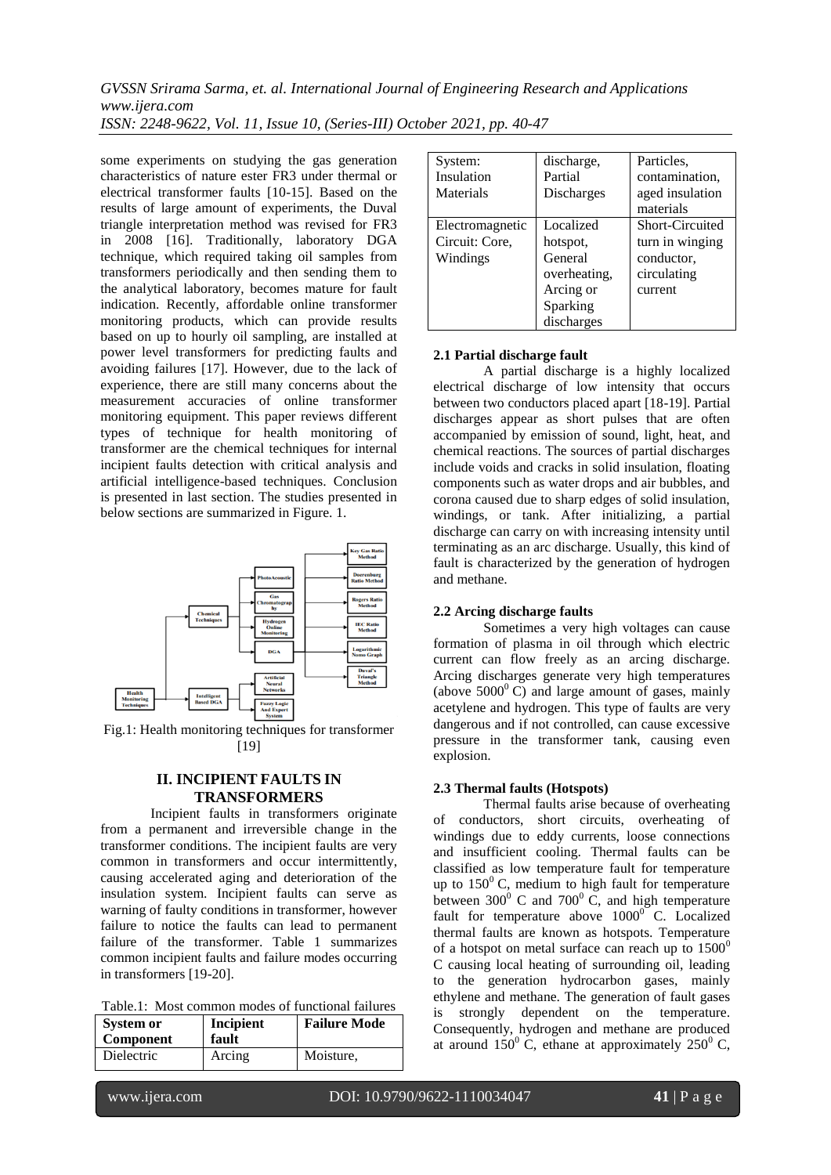some experiments on studying the gas generation characteristics of nature ester FR3 under thermal or electrical transformer faults [10-15]. Based on the results of large amount of experiments, the Duval triangle interpretation method was revised for FR3 in 2008 [16]. Traditionally, laboratory DGA technique, which required taking oil samples from transformers periodically and then sending them to the analytical laboratory, becomes mature for fault indication. Recently, affordable online transformer monitoring products, which can provide results based on up to hourly oil sampling, are installed at power level transformers for predicting faults and avoiding failures [17]. However, due to the lack of experience, there are still many concerns about the measurement accuracies of online transformer monitoring equipment. This paper reviews different types of technique for health monitoring of transformer are the chemical techniques for internal incipient faults detection with critical analysis and artificial intelligence-based techniques. Conclusion is presented in last section. The studies presented in below sections are summarized in Figure. 1.



Fig.1: Health monitoring techniques for transformer [19]

#### **II. INCIPIENT FAULTS IN TRANSFORMERS**

Incipient faults in transformers originate from a permanent and irreversible change in the transformer conditions. The incipient faults are very common in transformers and occur intermittently, causing accelerated aging and deterioration of the insulation system. Incipient faults can serve as warning of faulty conditions in transformer, however failure to notice the faults can lead to permanent failure of the transformer. Table 1 summarizes common incipient faults and failure modes occurring in transformers [19-20].

Table.1: Most common modes of functional failures

| System or<br>Component | Incipient<br>fault | <b>Failure Mode</b> |
|------------------------|--------------------|---------------------|
| <b>Dielectric</b>      | Arcing             | Moisture.           |

| System:         | discharge,   | Particles.      |
|-----------------|--------------|-----------------|
| Insulation      | Partial      | contamination,  |
| Materials       | Discharges   | aged insulation |
|                 |              | materials       |
| Electromagnetic | Localized    | Short-Circuited |
| Circuit: Core,  | hotspot,     | turn in winging |
| Windings        | General      | conductor,      |
|                 | overheating, | circulating     |
|                 | Arcing or    | current         |
|                 | Sparking     |                 |
|                 | discharges   |                 |

#### **2.1 Partial discharge fault**

 A partial discharge is a highly localized electrical discharge of low intensity that occurs between two conductors placed apart [18-19]. Partial discharges appear as short pulses that are often accompanied by emission of sound, light, heat, and chemical reactions. The sources of partial discharges include voids and cracks in solid insulation, floating components such as water drops and air bubbles, and corona caused due to sharp edges of solid insulation, windings, or tank. After initializing, a partial discharge can carry on with increasing intensity until terminating as an arc discharge. Usually, this kind of fault is characterized by the generation of hydrogen and methane.

#### **2.2 Arcing discharge faults**

Sometimes a very high voltages can cause formation of plasma in oil through which electric current can flow freely as an arcing discharge. Arcing discharges generate very high temperatures (above  $5000^{\circ}$  C) and large amount of gases, mainly acetylene and hydrogen. This type of faults are very dangerous and if not controlled, can cause excessive pressure in the transformer tank, causing even explosion.

#### **2.3 Thermal faults (Hotspots)**

 Thermal faults arise because of overheating of conductors, short circuits, overheating of windings due to eddy currents, loose connections and insufficient cooling. Thermal faults can be classified as low temperature fault for temperature up to  $150^{\circ}$  C, medium to high fault for temperature between 300 $^{\circ}$  C and 700 $^{\circ}$  C, and high temperature fault for temperature above  $1000^\circ$  C. Localized thermal faults are known as hotspots. Temperature of a hotspot on metal surface can reach up to  $1500^{\circ}$ C causing local heating of surrounding oil, leading to the generation hydrocarbon gases, mainly ethylene and methane. The generation of fault gases is strongly dependent on the temperature. Consequently, hydrogen and methane are produced at around  $150^{\circ}$  C, ethane at approximately  $250^{\circ}$  C,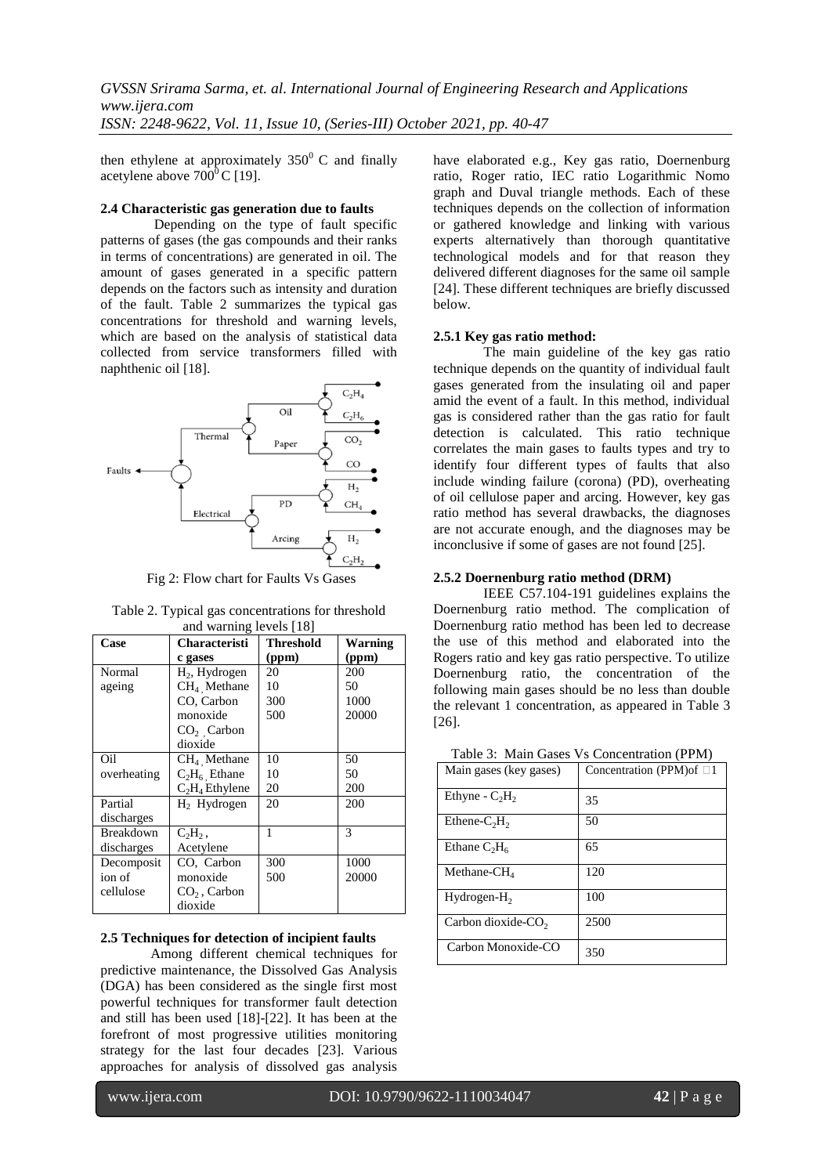then ethylene at approximately  $350^{\circ}$  C and finally acetylene above  $700^{\circ}$ C [19].

#### **2.4 Characteristic gas generation due to faults**

 Depending on the type of fault specific patterns of gases (the gas compounds and their ranks in terms of concentrations) are generated in oil. The amount of gases generated in a specific pattern depends on the factors such as intensity and duration of the fault. Table 2 summarizes the typical gas concentrations for threshold and warning levels, which are based on the analysis of statistical data collected from service transformers filled with naphthenic oil [18].



Fig 2: Flow chart for Faults Vs Gases

| Table 2. Typical gas concentrations for threshold |
|---------------------------------------------------|
| and warning lavale [19]                           |

| Case        | Characteristi             | <b>Threshold</b> | <b>Warning</b> |
|-------------|---------------------------|------------------|----------------|
|             | c gases                   | (ppm)            | (ppm)          |
| Normal      | H <sub>2</sub> , Hydrogen | 20               | 200            |
| ageing      | $CH4$ Methane             | 10               | 50             |
|             | CO, Carbon                | 300              | 1000           |
|             | monoxide                  | 500              | 20000          |
|             | $CO2$ Carbon              |                  |                |
|             | dioxide                   |                  |                |
| Oil         | $CH4$ Methane             | 10               | 50             |
| overheating | $C_2H_6$ Ethane           | 10               | 50             |
|             | $C_2H_4$ Ethylene         | 20               | 200            |
| Partial     | $H2$ Hydrogen             | 20               | 200            |
| discharges  |                           |                  |                |
| Breakdown   | $C_2H_2$ ,                | 1                | 3              |
| discharges  | Acetylene                 |                  |                |
| Decomposit  | CO, Carbon                | 300              | 1000           |
| ion of      | monoxide                  | 500              | 20000          |
| cellulose   | $CO2$ , Carbon            |                  |                |
|             | dioxide                   |                  |                |

#### **2.5 Techniques for detection of incipient faults**

 Among different chemical techniques for predictive maintenance, the Dissolved Gas Analysis (DGA) has been considered as the single first most powerful techniques for transformer fault detection and still has been used [18]-[22]. It has been at the forefront of most progressive utilities monitoring strategy for the last four decades [23]. Various approaches for analysis of dissolved gas analysis

have elaborated e.g., Key gas ratio, Doernenburg ratio, Roger ratio, IEC ratio Logarithmic Nomo graph and Duval triangle methods. Each of these techniques depends on the collection of information or gathered knowledge and linking with various experts alternatively than thorough quantitative technological models and for that reason they delivered different diagnoses for the same oil sample [24]. These different techniques are briefly discussed below.

#### **2.5.1 Key gas ratio method:**

 The main guideline of the key gas ratio technique depends on the quantity of individual fault gases generated from the insulating oil and paper amid the event of a fault. In this method, individual gas is considered rather than the gas ratio for fault detection is calculated. This ratio technique correlates the main gases to faults types and try to identify four different types of faults that also include winding failure (corona) (PD), overheating of oil cellulose paper and arcing. However, key gas ratio method has several drawbacks, the diagnoses are not accurate enough, and the diagnoses may be inconclusive if some of gases are not found [25].

#### **2.5.2 Doernenburg ratio method (DRM)**

IEEE C57.104-191 guidelines explains the Doernenburg ratio method. The complication of Doernenburg ratio method has been led to decrease the use of this method and elaborated into the Rogers ratio and key gas ratio perspective. To utilize Doernenburg ratio, the concentration of the following main gases should be no less than double the relevant 1 concentration, as appeared in Table 3 [26].

Table 3: Main Gases Vs Concentration (PPM)

| Main gases (key gases)         | Concentration (PPM)of □1 |
|--------------------------------|--------------------------|
| Ethyne - $C_2H_2$              | 35                       |
| Ethene- $C_2H_2$               | 50                       |
| Ethane $C_2H_6$                | 65                       |
| Methane- $CH4$                 | 120                      |
| $Hydrogen-H2$                  | 100                      |
| Carbon dioxide-CO <sub>2</sub> | 2500                     |
| Carbon Monoxide-CO             | 350                      |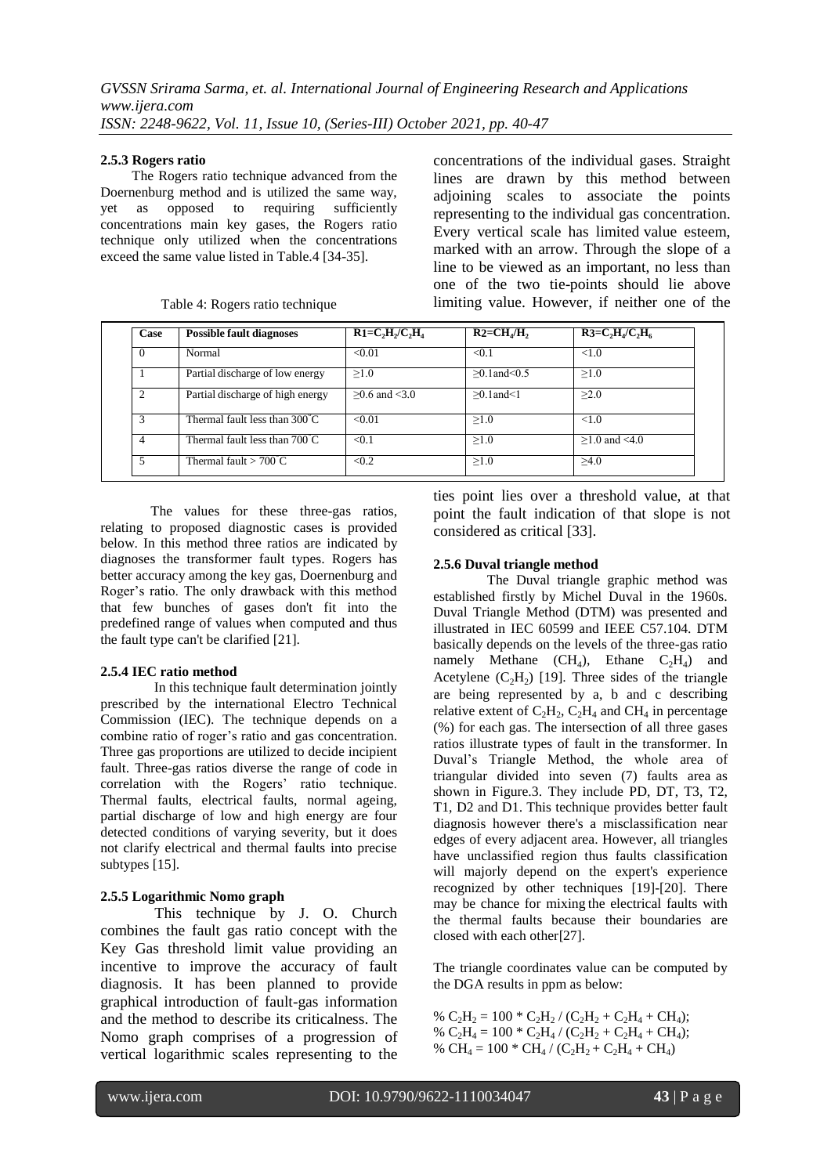#### **2.5.3 Rogers ratio**

 The Rogers ratio technique advanced from the Doernenburg method and is utilized the same way, yet as opposed to requiring sufficiently concentrations main key gases, the Rogers ratio technique only utilized when the concentrations exceed the same value listed in Table.4 [34-35].

| Case     | <b>Possible fault diagnoses</b>         | $R1=C, H/C, H_4$   | $R2 = CHa/H$ ,      | $R3=C2H4/C2H6$     |
|----------|-----------------------------------------|--------------------|---------------------|--------------------|
| $\theta$ | Normal                                  | < 0.01             | < 0.1               | < 1.0              |
|          | Partial discharge of low energy         | >1.0               | $>0.1$ and $< 0.5$  | >1.0               |
|          | Partial discharge of high energy        | $>0.6$ and $< 3.0$ | $>0.1$ and $\leq 1$ | >2.0               |
| 3        | Thermal fault less than $300^{\circ}$ C | < 0.01             | >1.0                | ${<}1.0$           |
| 4        | Thermal fault less than $700^{\circ}$ C | < 0.1              | >1.0                | $>1.0$ and $< 4.0$ |
| 5        | Thermal fault $>700^{\circ}$ C          | < 0.2              | >1.0                | >4.0               |

Table 4: Rogers ratio technique

The values for these three-gas ratios, relating to proposed diagnostic cases is provided below. In this method three ratios are indicated by diagnoses the transformer fault types. Rogers has better accuracy among the key gas, Doernenburg and Roger's ratio. The only drawback with this method that few bunches of gases don't fit into the predefined range of values when computed and thus the fault type can't be clarified [21].

#### **2.5.4 IEC ratio method**

 In this technique fault determination jointly prescribed by the international Electro Technical Commission (IEC). The technique depends on a combine ratio of roger's ratio and gas concentration. Three gas proportions are utilized to decide incipient fault. Three-gas ratios diverse the range of code in correlation with the Rogers' ratio technique. Thermal faults, electrical faults, normal ageing, partial discharge of low and high energy are four detected conditions of varying severity, but it does not clarify electrical and thermal faults into precise subtypes [15].

# **2.5.5 Logarithmic Nomo graph**

 This technique by J. O. Church combines the fault gas ratio concept with the Key Gas threshold limit value providing an incentive to improve the accuracy of fault diagnosis. It has been planned to provide graphical introduction of fault-gas information and the method to describe its criticalness. The Nomo graph comprises of a progression of vertical logarithmic scales representing to the

ties point lies over a threshold value, at that point the fault indication of that slope is not considered as critical [33].

concentrations of the individual gases. Straight lines are drawn by this method between adjoining scales to associate the points representing to the individual gas concentration. Every vertical scale has limited value esteem, marked with an arrow. Through the slope of a line to be viewed as an important, no less than one of the two tie-points should lie above limiting value. However, if neither one of the

## **2.5.6 Duval triangle method**

 The Duval triangle graphic method was established firstly by Michel Duval in the 1960s. Duval Triangle Method (DTM) was presented and illustrated in IEC 60599 and IEEE C57.104. DTM basically depends on the levels of the three-gas ratio namely Methane  $(CH_4)$ , Ethane  $C_2H_4$ ) and Acetylene  $(C_2H_2)$  [19]. Three sides of the triangle are being represented by a, b and c describing relative extent of  $C_2H_2$ ,  $C_2H_4$  and CH<sub>4</sub> in percentage (%) for each gas. The intersection of all three gases ratios illustrate types of fault in the transformer. In Duval's Triangle Method, the whole area of triangular divided into seven (7) faults area as shown in Figure.3. They include PD, DT, T3, T2, T1, D2 and D1. This technique provides better fault diagnosis however there's a misclassification near edges of every adjacent area. However, all triangles have unclassified region thus faults classification will majorly depend on the expert's experience recognized by other techniques [19]-[20]. There may be chance for mixing the electrical faults with the thermal faults because their boundaries are closed with each other[27].

The triangle coordinates value can be computed by the DGA results in ppm as below:

%  $C_2H_2 = 100 * C_2H_2 / (C_2H_2 + C_2H_4 + CH_4);$ %  $C_2H_4 = 100 * C_2H_4 / (C_2H_2 + C_2H_4 + CH_4);$ % CH<sub>4</sub> = 100 \* CH<sub>4</sub> / (C<sub>2</sub>H<sub>2</sub> + C<sub>2</sub>H<sub>4</sub> + CH<sub>4</sub>)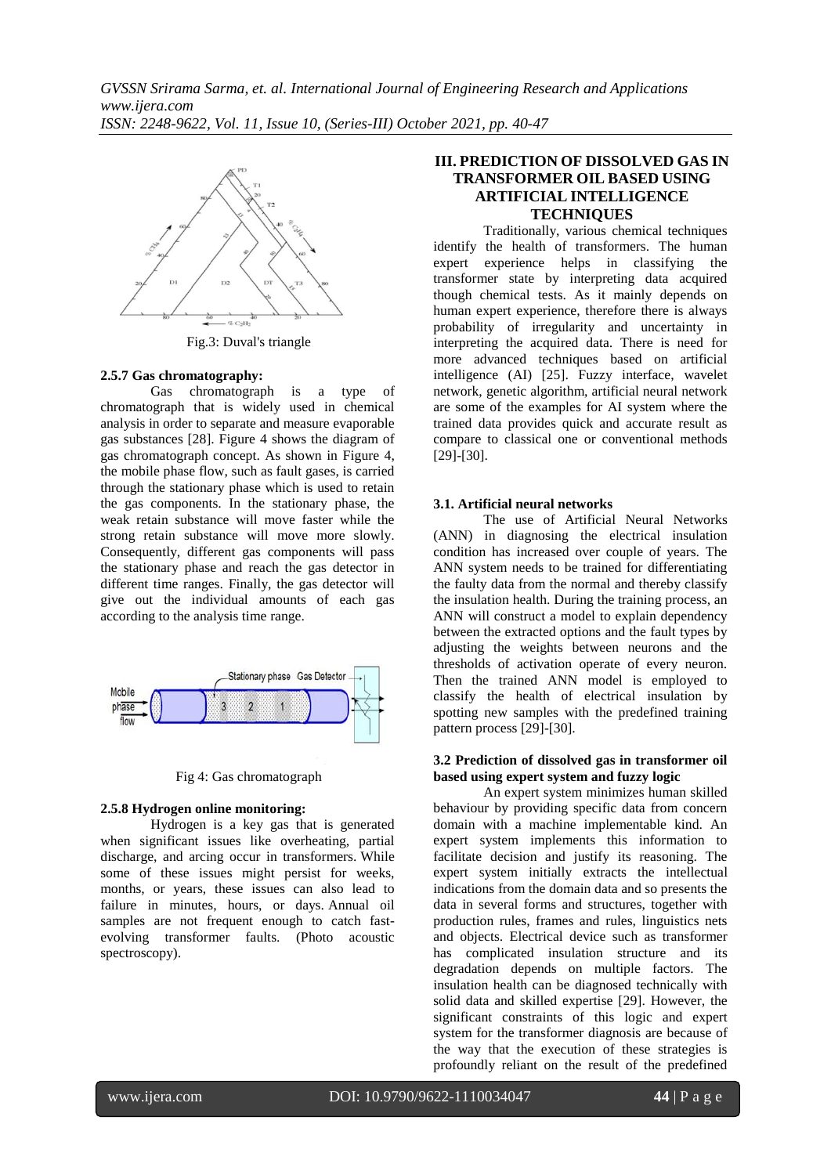

Fig.3: Duval's triangle

#### **2.5.7 Gas chromatography:**

 Gas chromatograph is a type of chromatograph that is widely used in chemical analysis in order to separate and measure evaporable gas substances [28]. Figure 4 shows the diagram of gas chromatograph concept. As shown in Figure 4, the mobile phase flow, such as fault gases, is carried through the stationary phase which is used to retain the gas components. In the stationary phase, the weak retain substance will move faster while the strong retain substance will move more slowly. Consequently, different gas components will pass the stationary phase and reach the gas detector in different time ranges. Finally, the gas detector will give out the individual amounts of each gas according to the analysis time range.



Fig 4: Gas chromatograph

#### **2.5.8 Hydrogen online monitoring:**

 Hydrogen is a key gas that is generated when significant issues like overheating, partial discharge, and arcing occur in transformers. While some of these issues might persist for weeks, months, or years, these issues can also lead to failure in minutes, hours, or days. Annual oil samples are not frequent enough to catch fastevolving transformer faults. (Photo acoustic spectroscopy).

# **III. PREDICTION OF DISSOLVED GAS IN TRANSFORMER OIL BASED USING ARTIFICIAL INTELLIGENCE TECHNIQUES**

Traditionally, various chemical techniques identify the health of transformers. The human expert experience helps in classifying the transformer state by interpreting data acquired though chemical tests. As it mainly depends on human expert experience, therefore there is always probability of irregularity and uncertainty in interpreting the acquired data. There is need for more advanced techniques based on artificial intelligence (AI) [25]. Fuzzy interface, wavelet network, genetic algorithm, artificial neural network are some of the examples for AI system where the trained data provides quick and accurate result as compare to classical one or conventional methods [29]-[30].

## **3.1. Artificial neural networks**

 The use of Artificial Neural Networks (ANN) in diagnosing the electrical insulation condition has increased over couple of years. The ANN system needs to be trained for differentiating the faulty data from the normal and thereby classify the insulation health. During the training process, an ANN will construct a model to explain dependency between the extracted options and the fault types by adjusting the weights between neurons and the thresholds of activation operate of every neuron. Then the trained ANN model is employed to classify the health of electrical insulation by spotting new samples with the predefined training pattern process [29]-[30].

#### **3.2 Prediction of dissolved gas in transformer oil based using expert system and fuzzy logic**

 An expert system minimizes human skilled behaviour by providing specific data from concern domain with a machine implementable kind. An expert system implements this information to facilitate decision and justify its reasoning. The expert system initially extracts the intellectual indications from the domain data and so presents the data in several forms and structures, together with production rules, frames and rules, linguistics nets and objects. Electrical device such as transformer has complicated insulation structure and its degradation depends on multiple factors. The insulation health can be diagnosed technically with solid data and skilled expertise [29]. However, the significant constraints of this logic and expert system for the transformer diagnosis are because of the way that the execution of these strategies is profoundly reliant on the result of the predefined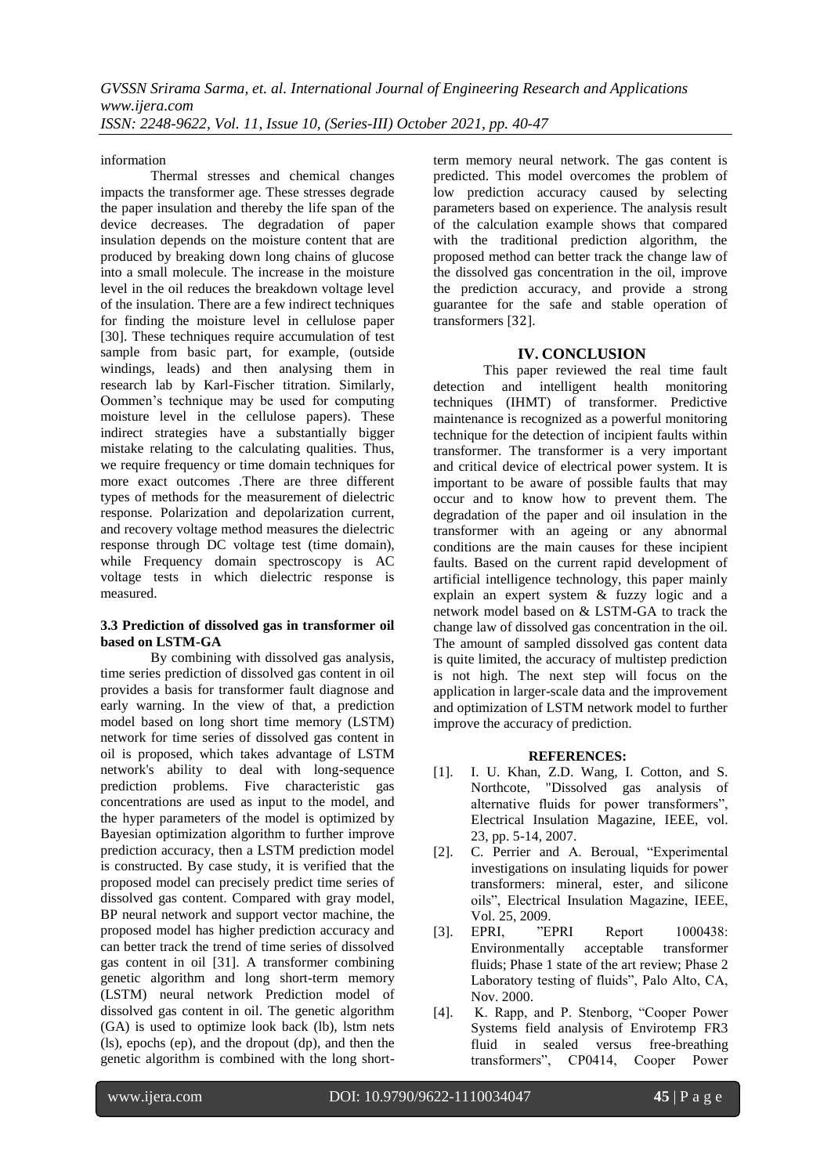information

Thermal stresses and chemical changes impacts the transformer age. These stresses degrade the paper insulation and thereby the life span of the device decreases. The degradation of paper insulation depends on the moisture content that are produced by breaking down long chains of glucose into a small molecule. The increase in the moisture level in the oil reduces the breakdown voltage level of the insulation. There are a few indirect techniques for finding the moisture level in cellulose paper [30]. These techniques require accumulation of test sample from basic part, for example, (outside windings, leads) and then analysing them in research lab by Karl-Fischer titration. Similarly, Oommen's technique may be used for computing moisture level in the cellulose papers). These indirect strategies have a substantially bigger mistake relating to the calculating qualities. Thus, we require frequency or time domain techniques for more exact outcomes .There are three different types of methods for the measurement of dielectric response. Polarization and depolarization current, and recovery voltage method measures the dielectric response through DC voltage test (time domain), while Frequency domain spectroscopy is AC voltage tests in which dielectric response is measured.

## **3.3 Prediction of dissolved gas in transformer oil based on LSTM-GA**

 By combining with dissolved gas analysis, time series prediction of dissolved gas content in oil provides a basis for transformer fault diagnose and early warning. In the view of that, a prediction model based on long short time memory (LSTM) network for time series of dissolved gas content in oil is proposed, which takes advantage of LSTM network's ability to deal with long-sequence prediction problems. Five characteristic gas concentrations are used as input to the model, and the hyper parameters of the model is optimized by Bayesian optimization algorithm to further improve prediction accuracy, then a LSTM prediction model is constructed. By case study, it is verified that the proposed model can precisely predict time series of dissolved gas content. Compared with gray model, BP neural network and support vector machine, the proposed model has higher prediction accuracy and can better track the trend of time series of dissolved gas content in oil [31]. A transformer combining genetic algorithm and long short-term memory (LSTM) neural network Prediction model of dissolved gas content in oil. The genetic algorithm (GA) is used to optimize look back (lb), lstm nets (ls), epochs (ep), and the dropout (dp), and then the genetic algorithm is combined with the long shortterm memory neural network. The gas content is predicted. This model overcomes the problem of low prediction accuracy caused by selecting parameters based on experience. The analysis result of the calculation example shows that compared with the traditional prediction algorithm, the proposed method can better track the change law of the dissolved gas concentration in the oil, improve the prediction accuracy, and provide a strong guarantee for the safe and stable operation of transformers [32].

## **IV. CONCLUSION**

This paper reviewed the real time fault detection and intelligent health monitoring techniques (IHMT) of transformer. Predictive maintenance is recognized as a powerful monitoring technique for the detection of incipient faults within transformer. The transformer is a very important and critical device of electrical power system. It is important to be aware of possible faults that may occur and to know how to prevent them. The degradation of the paper and oil insulation in the transformer with an ageing or any abnormal conditions are the main causes for these incipient faults. Based on the current rapid development of artificial intelligence technology, this paper mainly explain an expert system & fuzzy logic and a network model based on & LSTM-GA to track the change law of dissolved gas concentration in the oil. The amount of sampled dissolved gas content data is quite limited, the accuracy of multistep prediction is not high. The next step will focus on the application in larger-scale data and the improvement and optimization of LSTM network model to further improve the accuracy of prediction.

# **REFERENCES:**

- [1]. I. U. Khan, Z.D. Wang, I. Cotton, and S. Northcote, "Dissolved gas analysis of alternative fluids for power transformers", Electrical Insulation Magazine, IEEE, vol. 23, pp. 5-14, 2007.
- [2]. C. Perrier and A. Beroual, "Experimental investigations on insulating liquids for power transformers: mineral, ester, and silicone oils", Electrical Insulation Magazine, IEEE, Vol. 25, 2009.
- [3]. EPRI, "EPRI Report 1000438:<br>Environmentally acceptable transformer Environmentally acceptable transformer fluids; Phase 1 state of the art review; Phase 2 Laboratory testing of fluids", Palo Alto, CA, Nov. 2000.
- [4]. K. Rapp, and P. Stenborg, "Cooper Power Systems field analysis of Envirotemp FR3 fluid in sealed versus free-breathing transformers", CP0414, Cooper Power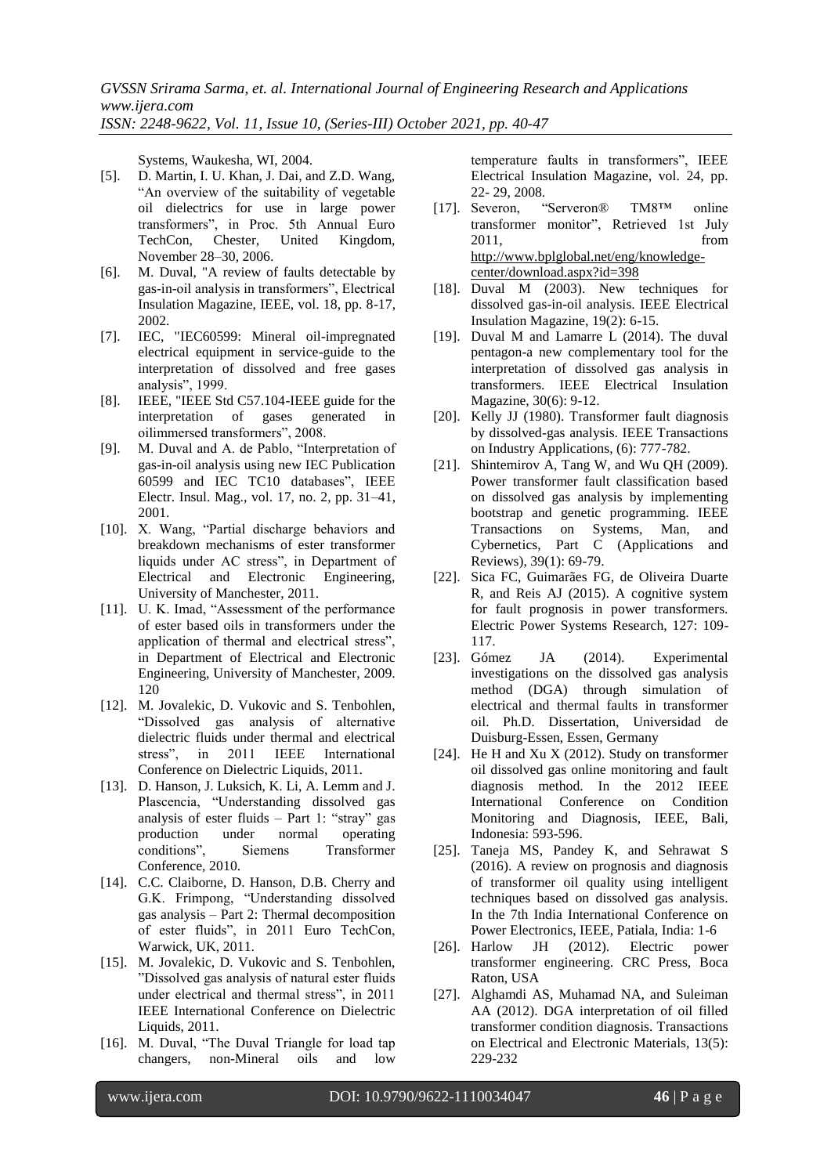Systems, Waukesha, WI, 2004.

- [5]. D. Martin, I. U. Khan, J. Dai, and Z.D. Wang, "An overview of the suitability of vegetable oil dielectrics for use in large power transformers", in Proc. 5th Annual Euro TechCon, Chester, United Kingdom, November 28–30, 2006.
- [6]. M. Duval, "A review of faults detectable by gas-in-oil analysis in transformers", Electrical Insulation Magazine, IEEE, vol. 18, pp. 8-17, 2002.
- [7]. IEC, "IEC60599: Mineral oil-impregnated electrical equipment in service-guide to the interpretation of dissolved and free gases analysis", 1999.
- [8]. IEEE, "IEEE Std C57.104-IEEE guide for the interpretation of gases generated in oilimmersed transformers", 2008.
- [9]. M. Duval and A. de Pablo, "Interpretation of gas-in-oil analysis using new IEC Publication 60599 and IEC TC10 databases", IEEE Electr. Insul. Mag., vol. 17, no. 2, pp. 31–41, 2001.
- [10]. X. Wang, "Partial discharge behaviors and breakdown mechanisms of ester transformer liquids under AC stress", in Department of Electrical and Electronic Engineering, University of Manchester, 2011.
- [11]. U. K. Imad, "Assessment of the performance of ester based oils in transformers under the application of thermal and electrical stress", in Department of Electrical and Electronic Engineering, University of Manchester, 2009. 120
- [12]. M. Jovalekic, D. Vukovic and S. Tenbohlen, "Dissolved gas analysis of alternative dielectric fluids under thermal and electrical stress", in 2011 IEEE International Conference on Dielectric Liquids, 2011.
- [13]. D. Hanson, J. Luksich, K. Li, A. Lemm and J. Plascencia, "Understanding dissolved gas analysis of ester fluids – Part 1: "stray" gas production under normal operating conditions", Siemens Transformer Conference, 2010.
- [14]. C.C. Claiborne, D. Hanson, D.B. Cherry and G.K. Frimpong, "Understanding dissolved gas analysis – Part 2: Thermal decomposition of ester fluids", in 2011 Euro TechCon, Warwick, UK, 2011.
- [15]. M. Jovalekic, D. Vukovic and S. Tenbohlen, "Dissolved gas analysis of natural ester fluids under electrical and thermal stress", in 2011 IEEE International Conference on Dielectric Liquids, 2011.
- [16]. M. Duval, "The Duval Triangle for load tap changers, non-Mineral oils and low

temperature faults in transformers", IEEE Electrical Insulation Magazine, vol. 24, pp. 22- 29, 2008.<br>Severon, "Serveron®

- [17]. Severon, "Serveron® TM8™ online transformer monitor", Retrieved 1st July 2011, from [http://www.bplglobal.net/eng/knowledge](http://www.bplglobal.net/eng/knowledge-center/download.aspx?id=398)[center/download.aspx?id=398](http://www.bplglobal.net/eng/knowledge-center/download.aspx?id=398)
- [18]. Duval M (2003). New techniques for dissolved gas-in-oil analysis. IEEE Electrical Insulation Magazine, 19(2): 6-15.
- [19]. Duval M and Lamarre L (2014). The duval pentagon-a new complementary tool for the interpretation of dissolved gas analysis in transformers. IEEE Electrical Insulation Magazine, 30(6): 9-12.
- [20]. Kelly JJ (1980). Transformer fault diagnosis by dissolved-gas analysis. IEEE Transactions on Industry Applications, (6): 777-782.
- [21]. Shintemirov A, Tang W, and Wu QH (2009). Power transformer fault classification based on dissolved gas analysis by implementing bootstrap and genetic programming. IEEE Transactions on Systems, Man, and Cybernetics, Part C (Applications and Reviews), 39(1): 69-79.
- [22]. Sica FC, Guimarães FG, de Oliveira Duarte R, and Reis AJ (2015). A cognitive system for fault prognosis in power transformers. Electric Power Systems Research, 127: 109- 117.
- [23]. Gómez JA (2014). Experimental investigations on the dissolved gas analysis method (DGA) through simulation of electrical and thermal faults in transformer oil. Ph.D. Dissertation, Universidad de Duisburg-Essen, Essen, Germany
- [24]. He H and Xu X (2012). Study on transformer oil dissolved gas online monitoring and fault diagnosis method. In the 2012 IEEE International Conference on Condition Monitoring and Diagnosis, IEEE, Bali, Indonesia: 593-596.
- [25]. Taneja MS, Pandey K, and Sehrawat S (2016). A review on prognosis and diagnosis of transformer oil quality using intelligent techniques based on dissolved gas analysis. In the 7th India International Conference on Power Electronics, IEEE, Patiala, India: 1-6
- [26]. Harlow JH (2012). Electric power transformer engineering. CRC Press, Boca Raton, USA
- [27]. Alghamdi AS, Muhamad NA, and Suleiman AA (2012). DGA interpretation of oil filled transformer condition diagnosis. Transactions on Electrical and Electronic Materials, 13(5): 229-232